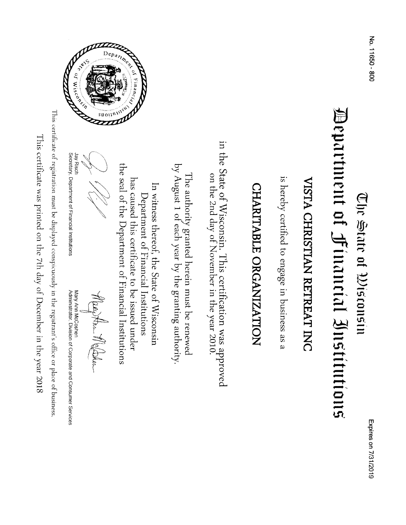### Department of Hinancial Institutions (Ulc State of the selection

# VISTA CHRISTIAN RETREAT INC

is hereby certified to engage in business as a

## CHARITABLE ORGANIZATION

in the State of Wisconsin. This certification was approved<br>on the 2nd day of November in the year 2010.

by August 1 of each year by the granting authority. The authority granted herein must be renewed

the seal of the Department of Financial Institutions has caused this certificate to be issued under In witness thereof, the State of Wisconsin Department of Financial Institutions

Jay Risch<br>Secretary, Department of Financial Institutions

May An Melahor

Mary Ann McCoshen<br>Administrator, Division of Corporate and Consumer Services

This certificate of registration must be displayed conspicuously in the registrant's office or place of business

This certificate was printed on the 7th day of December in the year 2018

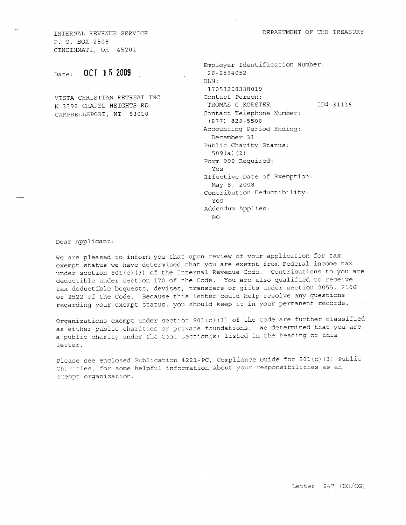DEPARTMENT OF THE TREASURY

INTERNAL REVENUE SERVICE P. O. BOX 2508 CINCINNATI, OH 4520L

 $_{\text{Date}}$ : 0CT 15 2009 26-2594052

VISTA CHRISTIAN RETREAT INC Contact Person: CAMPBELLSPORT, WI 53010 Contact Telephone Number:

```
Employer Identification Number:
                                     DLN:
                                      L'7 053208338019
N 3398 CHAPEL HEIGHTS RD THOMAS C KOESTER TD# 31116
                                      (817) 829-5500
                                     Accounting Period Ending:
                                       December 31
                                     Public Charity Status:
                                       s09 (a) (2 )
                                     Form 990 Required:
                                       YeS
                                     Effective Date of Exemption:
                                       May B, 2008
                                     Contribution Deductibility:
                                       Yes
                                      Addendum Applies:
                                       N<sub>O</sub>
```
Dear ApPlicant:

We are pleased to inform you that upon review of your application for tax exempt status we have determined that you are exempt from Federal income tax under section 501(c) (3) of the Internal Revenue Code. Contributions to you are deductible under section 170 of the Code. You are also qualified to receive tax deductible bequests, devises, transfers or gifts under section 2055, 2106 or 2522 of the Code. Because this letter could help resolve any questions regarding your exempt status, you should keep it in your permanent records.

Organizations exempt under section  $501(c)$  (3) of the Code are further classified as either public charities or private foundations. We determined that you are as cremer public charicters of privace remandered in the heading of this letter.

Please see enclosed Publication 4221-PC, Compliance Guide for 501(c)(3) Public Charities, for some helpful information about your responsibilities as an exempt organization.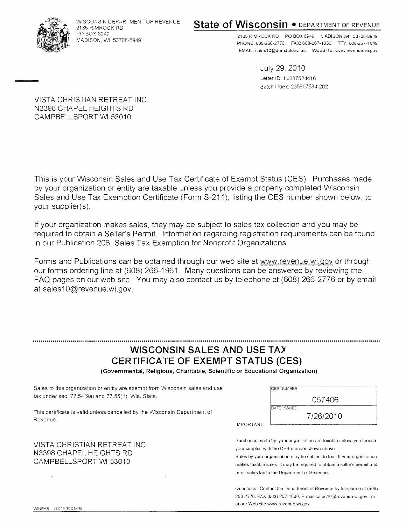

WISCONSIN DEPARTMENT OF REVENUE 2135 RIMROCK RD PO BOX 8949 MADISON, WI 53708-8949

### State of Wisconsin . DEPARTMENT OF REVENUE

2135 RIMROCK RD PO BOX 8949 MADISON WI 53708-8949 PHONE: 608-266-2776 FAX: 608-267-1030 TTY: 608-267-1049 EMAIL: sales10@dor.state.wi.us WEBSITE: www.revenue.wi.gov

> July 29,2010 Letter ID: L0387524416 Batch Index: 235907 584-202

VISTA CHRISTIAN RETREAT INC N3398 CHAPEL HEIGHTS RD CAMPBELLSPORT WI 53010

This is your Wisconsin Sales and Use Tax Certificate of Exempt Status (CES). Purchases made by your organization or entity are taxable unless you provide a properly completed Wisconsin Sales and Use Tax Exemption Certificate (Form S-211), listing the CES number shown below, to your supplier(s)

lf your organization makes sales, they may be subject to sales tax collection and you may be required to obtain a Seller's Permit. Information regarding registration requirements can be found in our Publication 206, Sales Tax Exemption for Nonprofit Organizations.

Forms and Publications can be obtained through our web site at www.revenue.wi.gov or through our forms ordering line at (608) 266-1961. Many questions can be answered by reviewing the FAQ pages on our web site. You may also contact us by telephone at (608) 266-2776 or by email at sales10@revenue.wi.gov.

### WISCONSIN SALES AND USE TAX CERTIFICATE OF EXEMPT STATUS (CES)

(Governmental, Religious, Charitable, Scientific or Educational Organization)

Sales to this organization or entity are exempt from Wisconsin sales and use tax under sec. 77.54(9a) and 77.55(1), Wis. Stats,

This certificate is valid unless cancelled by the Wisconsin Department of Reven ue.

VISTA CHRISTIAN RETREAT INC N3398 CHAPEL HEIGHTS RD CAMPBELLSPORT WI 53010

| <b>ICES NUMBER</b> |
|--------------------|
| 057406             |
| DATE ISSUED        |
| 7/26/2010          |

IMPORTANT

Purchases made by your organization are taxable unless you furnish your supplier with the CES number shown above.

makes taxable sales, it may be required to obtain a seller's permit and<br>remit sales tax to the Denartment of Revenue Sales by your organization may be subject to tax. If your organization remit sales tax to the Department of Revenue.

Questions: Contact the Department of Revenue by telephone at (608) 266-2116. FAX (608) 267-1030. E-mail salesl0@revenue.wi.gov, or at our Web site www.revenue.wi.gov